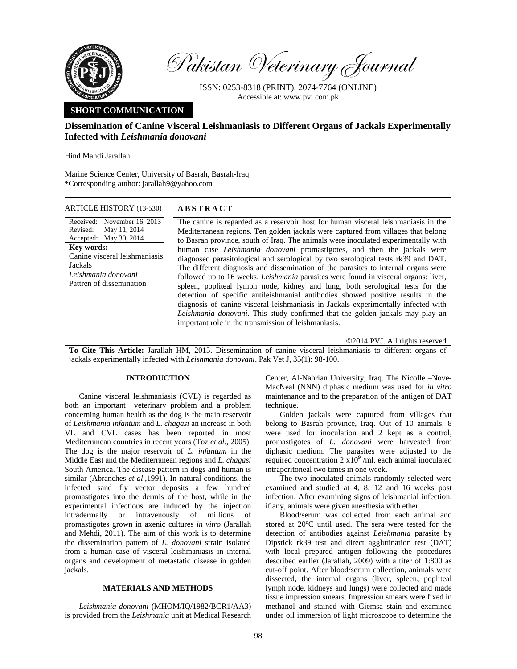

Pakistan Veterinary Journal

ISSN: 0253-8318 (PRINT), 2074-7764 (ONLINE) Accessible at: www.pvj.com.pk

# **SHORT COMMUNICATION**

# **Dissemination of Canine Visceral Leishmaniasis to Different Organs of Jackals Experimentally Infected with** *Leishmania donovani*

Hind Mahdi Jarallah

Marine Science Center, University of Basrah, Basrah-Iraq \*Corresponding author: jarallah9@yahoo.com

| Received: November 16, 2013<br>May 11, 2014<br>Revised:                                                                                                                  | <b>ARTICLE HISTORY (13-530)</b> | <b>ABSTRACT</b>                                                                                                                                                                                                                                                                                                                                                                                                                                                                                                                                                                                                                                                                                                                                                                                                                                                                                                                                                    |
|--------------------------------------------------------------------------------------------------------------------------------------------------------------------------|---------------------------------|--------------------------------------------------------------------------------------------------------------------------------------------------------------------------------------------------------------------------------------------------------------------------------------------------------------------------------------------------------------------------------------------------------------------------------------------------------------------------------------------------------------------------------------------------------------------------------------------------------------------------------------------------------------------------------------------------------------------------------------------------------------------------------------------------------------------------------------------------------------------------------------------------------------------------------------------------------------------|
| <b>Key words:</b><br>Canine visceral leishmaniasis<br>Jackals<br>Leishmania donovani<br>Pattren of dissemination<br>important role in the transmission of leishmaniasis. | Accepted: May 30, 2014          | The canine is regarded as a reservoir host for human visceral leishmaniasis in the<br>Mediterranean regions. Ten golden jackals were captured from villages that belong<br>to Basrah province, south of Iraq. The animals were inoculated experimentally with<br>human case <i>Leishmania donovani</i> promastigotes, and then the jackals were<br>diagnosed parasitological and serological by two serological tests rk39 and DAT.<br>The different diagnosis and dissemination of the parasites to internal organs were<br>followed up to 16 weeks. <i>Leishmania</i> parasites were found in visceral organs: liver,<br>spleen, popliteal lymph node, kidney and lung, both serological tests for the<br>detection of specific antileishmanial antibodies showed positive results in the<br>diagnosis of canine visceral leishmaniasis in Jackals experimentally infected with<br>Leishmania donovani. This study confirmed that the golden jackals may play an |

©2014 PVJ. All rights reserved

**To Cite This Article:** Jarallah HM, 2015. Dissemination of canine visceral leishmaniasis to different organs of jackals experimentally infected with *Leishmania donovani*. Pak Vet J, 35(1): 98-100.

### **INTRODUCTION**

Canine visceral leishmaniasis (CVL) is regarded as both an important veterinary problem and a problem concerning human health as the dog is the main reservoir of *Leishmania infantum* and *L. chagasi* an increase in both VL and CVL cases has been reported in most Mediterranean countries in recent years (Toz *et al*., 2005). The dog is the major reservoir of *L. infantum* in the Middle East and the Mediterranean regions and *L. chagasi*  South America. The disease pattern in dogs and human is similar (Abranches *et al*.,1991). In natural conditions, the infected sand fly vector deposits a few hundred promastigotes into the dermis of the host, while in the experimental infectious are induced by the injection intradermally or intravenously of millions of promastigotes grown in axenic cultures *in vitro* (Jarallah and Mehdi, 2011). The aim of this work is to determine the dissemination pattern of *L. donovani* strain isolated from a human case of visceral leishmaniasis in internal organs and development of metastatic disease in golden jackals.

#### **MATERIALS AND METHODS**

*Leishmania donovani* (MHOM/IQ/1982/BCR1/AA3) is provided from the *Leishmania* unit at Medical Research Center, Al-Nahrian University, Iraq. The Nicolle –Nove-MacNeal (NNN) diphasic medium was used for *in vitro*  maintenance and to the preparation of the antigen of DAT technique.

Golden jackals were captured from villages that belong to Basrah province, Iraq. Out of 10 animals, 8 were used for inoculation and 2 kept as a control, promastigotes of *L. donovani* were harvested from diphasic medium. The parasites were adjusted to the required concentration  $2 \times 10^9$  /ml. each animal inoculated intraperitoneal two times in one week.

The two inoculated animals randomly selected were examined and studied at 4, 8, 12 and 16 weeks post infection. After examining signs of leishmanial infection, if any, animals were given anesthesia with ether.

Blood/serum was collected from each animal and stored at 20ºC until used. The sera were tested for the detection of antibodies against *Leishmania* parasite by Dipstick rk39 test and direct agglutination test (DAT) with local prepared antigen following the procedures described earlier (Jarallah, 2009) with a titer of 1:800 as cut-off point. After blood/serum collection, animals were dissected, the internal organs (liver, spleen, popliteal lymph node, kidneys and lungs) were collected and made tissue impression smears. Impression smears were fixed in methanol and stained with Giemsa stain and examined under oil immersion of light microscope to determine the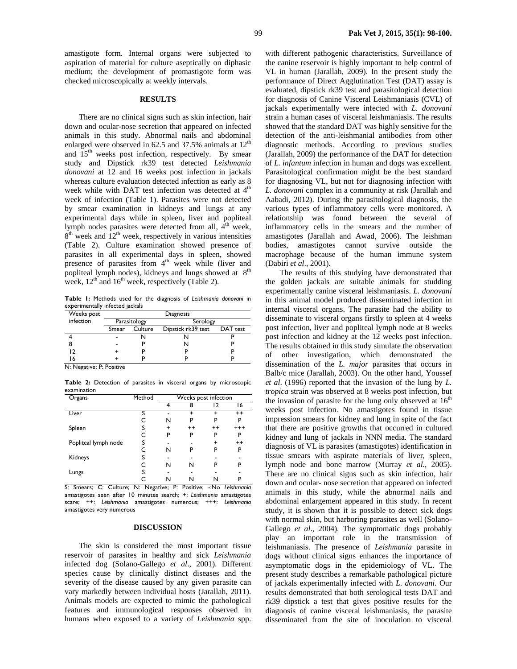amastigote form. Internal organs were subjected to aspiration of material for culture aseptically on diphasic medium; the development of promastigote form was checked microscopically at weekly intervals.

#### **RESULTS**

There are no clinical signs such as skin infection, hair down and ocular-nose secretion that appeared on infected animals in this study. Abnormal nails and abdominal enlarged were observed in  $62.5$  and  $37.5\%$  animals at  $12<sup>th</sup>$ and  $15<sup>th</sup>$  weeks post infection, respectively. By smear study and Dipstick rk39 test detected *Leishmania donovani* at 12 and 16 weeks post infection in jackals whereas culture evaluation detected infection as early as 8 week while with DAT test infection was detected at 4<sup>th</sup> week of infection (Table 1). Parasites were not detected by smear examination in kidneys and lungs at any experimental days while in spleen, liver and popliteal lymph nodes parasites were detected from all,  $4<sup>th</sup>$  week,  $8<sup>th</sup>$  week and  $12<sup>th</sup>$  week, respectively in various intensities (Table 2). Culture examination showed presence of parasites in all experimental days in spleen, showed presence of parasites from 4<sup>th</sup> week while (liver and popliteal lymph nodes), kidneys and lungs showed at  $8<sup>th</sup>$ week,  $12<sup>th</sup>$  and  $16<sup>th</sup>$  week, respectively (Table 2).

**Table 1:** Methods used for the diagnosis of *Leishmania donovani* in experimentally infected jackals

| Weeks post | Diagnosis    |         |                    |          |  |  |
|------------|--------------|---------|--------------------|----------|--|--|
| infection  | Parasitology |         | Serology           |          |  |  |
|            | Smear        | Culture | Dipstick rk39 test | DAT test |  |  |
|            | -            |         |                    |          |  |  |
|            |              |         | N                  |          |  |  |
| רו         |              |         |                    |          |  |  |
| 16<br>.    | _ _          |         |                    |          |  |  |

N: Negative; P: Positive

**Table 2:** Detection of parasites in visceral organs by microscopic examination

| Organs               | Method | Weeks post infection |           |           |         |
|----------------------|--------|----------------------|-----------|-----------|---------|
|                      |        |                      | 8         | 12        | 16      |
| Liver                |        |                      | $\ddot{}$ | $\ddot{}$ | $++$    |
|                      |        | N                    | P         | P         | P       |
| Spleen               | S      | $\ddot{}$            | $^{++}$   | $^{++}$   | $^{++}$ |
|                      |        | P                    | P         | P         | P       |
| Popliteal lymph node | s      |                      |           | ÷         | $++$    |
|                      |        | N                    | P         | P         | P       |
| Kidneys              | S      |                      |           |           |         |
|                      |        | N                    | N         | P         | P       |
| Lungs                | S      |                      |           |           |         |
|                      |        | N                    | N         | N         | P       |

S: Smears; C: Culture; N: Negative; P: Positive; -:No *Leishmania* amastigotes seen after 10 minutes search; +: *Leishmania* amastigotes scare; ++: *Leishmania* amastigotes numerous; +++: *Leishmania* amastigotes very numerous

# **DISCUSSION**

The skin is considered the most important tissue reservoir of parasites in healthy and sick *Leishmania*  infected dog (Solano-Gallego *et al*., 2001). Different species cause by clinically distinct diseases and the severity of the disease caused by any given parasite can vary markedly between individual hosts (Jarallah, 2011). Animals models are expected to mimic the pathological features and immunological responses observed in humans when exposed to a variety of *Leishmania* spp.

99 **Pak Vet J, 2015, 35(1): 98-100.**

with different pathogenic characteristics. Surveillance of the canine reservoir is highly important to help control of VL in human (Jarallah, 2009). In the present study the performance of Direct Agglutination Test (DAT) assay is evaluated, dipstick rk39 test and parasitological detection for diagnosis of Canine Visceral Leishmaniasis (CVL) of jackals experimentally were infected with *L. donovani* strain a human cases of visceral leishmaniasis. The results showed that the standard DAT was highly sensitive for the detection of the anti-leishmanial antibodies from other diagnostic methods. According to previous studies (Jarallah, 2009) the performance of the DAT for detection of *L. infantum* infection in human and dogs was excellent. Parasitological confirmation might be the best standard for diagnosing VL, but not for diagnosing infection with *L. donovani* complex in a community at risk (Jarallah and Aabadi, 2012). During the parasitological diagnosis, the various types of inflammatory cells were monitored. A relationship was found between the several of inflammatory cells in the smears and the number of amastigotes (Jarallah and Awad, 2006). The leishman bodies, amastigotes cannot survive outside the macrophage because of the human immune system (Dabiri *et al*., 2001).

The results of this studying have demonstrated that the golden jackals are suitable animals for studding experimentally canine visceral leishmaniasis. *L. donovani* in this animal model produced disseminated infection in internal visceral organs. The parasite had the ability to disseminate to visceral organs firstly to spleen at 4 weeks post infection, liver and popliteal lymph node at 8 weeks post infection and kidney at the 12 weeks post infection. The results obtained in this study simulate the observation of other investigation, which demonstrated the dissemination of the *L. major* parasites that occurs in Balb/c mice (Jarallah, 2003). On the other hand, Youssef *et al*. (1996) reported that the invasion of the lung by *L. tropica* strain was observed at 8 weeks post infection, but the invasion of parasite for the lung only observed at  $16<sup>th</sup>$ weeks post infection. No amastigotes found in tissue impression smears for kidney and lung in spite of the fact that there are positive growths that occurred in cultured kidney and lung of jackals in NNN media. The standard diagnosis of VL is parasites (amastigotes) identification in tissue smears with aspirate materials of liver, spleen, lymph node and bone marrow (Murray *et al*., 2005). There are no clinical signs such as skin infection, hair down and ocular- nose secretion that appeared on infected animals in this study, while the abnormal nails and abdominal enlargement appeared in this study. In recent study, it is shown that it is possible to detect sick dogs with normal skin, but harboring parasites as well (Solano-Gallego *et al*., 2004). The symptomatic dogs probably play an important role in the transmission of leishmaniasis. The presence of *Leishmania* parasite in dogs without clinical signs enhances the importance of asymptomatic dogs in the epidemiology of VL. The present study describes a remarkable pathological picture of jackals experimentally infected with *L*. *donovani*. Our results demonstrated that both serological tests DAT and rk39 dipstick a test that gives positive results for the diagnosis of canine visceral leishmaniasis, the parasite disseminated from the site of inoculation to visceral